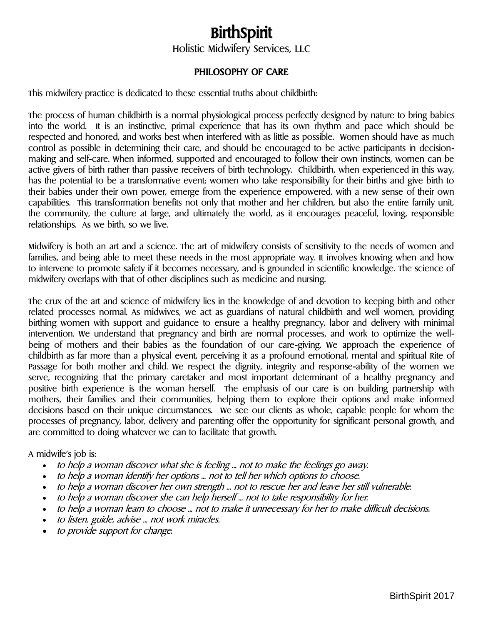# **BirthSpirit**

Holistic Midwifery Services, LLC

## PHILOSOPHY OF CARE

This midwifery practice is dedicated to these essential truths about childbirth:

The process of human childbirth is a normal physiological process perfectly designed by nature to bring babies into the world. It is an instinctive, primal experience that has its own rhythm and pace which should be respected and honored, and works best when interfered with as little as possible. Women should have as much control as possible in determining their care, and should be encouraged to be active participants in decisionmaking and self-care. When informed, supported and encouraged to follow their own instincts, women can be active givers of birth rather than passive receivers of birth technology. Childbirth, when experienced in this way, has the potential to be a transformative event; women who take responsibility for their births and give birth to their babies under their own power, emerge from the experience empowered, with a new sense of their own capabilities. This transformation benefits not only that mother and her children, but also the entire family unit, the community, the culture at large, and ultimately the world, as it encourages peaceful, loving, responsible relationships. As we birth, so we live.

Midwifery is both an art and a science. The art of midwifery consists of sensitivity to the needs of women and families, and being able to meet these needs in the most appropriate way. It involves knowing when and how to intervene to promote safety if it becomes necessary, and is grounded in scientific knowledge. The science of midwifery overlaps with that of other disciplines such as medicine and nursing.

The crux of the art and science of midwifery lies in the knowledge of and devotion to keeping birth and other related processes normal. As midwives, we act as guardians of natural childbirth and well women, providing birthing women with support and guidance to ensure a healthy pregnancy, labor and delivery with minimal intervention. We understand that pregnancy and birth are normal processes, and work to optimize the wellbeing of mothers and their babies as the foundation of our care-giving. We approach the experience of childbirth as far more than a physical event, perceiving it as a profound emotional, mental and spiritual Rite of Passage for both mother and child. We respect the dignity, integrity and response-ability of the women we serve, recognizing that the primary caretaker and most important determinant of a healthy pregnancy and positive birth experience is the woman herself. The emphasis of our care is on building partnership with mothers, their families and their communities, helping them to explore their options and make informed decisions based on their unique circumstances. We see our clients as whole, capable people for whom the processes of pregnancy, labor, delivery and parenting offer the opportunity for significant personal growth, and are committed to doing whatever we can to facilitate that growth.

A midwife's job is:

- to help a woman discover what she is feeling ... not to make the feelings go away.
- to help a woman identify her options ... not to tell her which options to choose.
- to help a woman discover her own strength ... not to rescue her and leave her still vulnerable.
- to help a woman discover she can help herself ... not to take responsibility for her.
- to help a woman learn to choose ... not to make it unnecessary for her to make difficult decisions.
- to listen, guide, advise ... not work miracles.
- to provide support for change.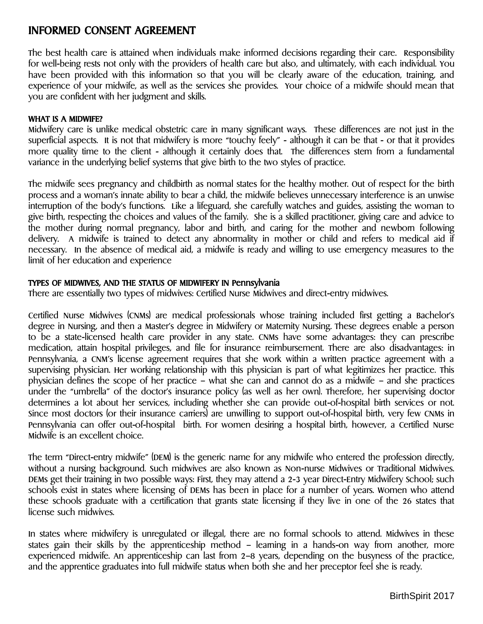# INFORMED CONSENT AGREEMENT

The best health care is attained when individuals make informed decisions regarding their care. Responsibility for well-being rests not only with the providers of health care but also, and ultimately, with each individual. You have been provided with this information so that you will be clearly aware of the education, training, and experience of your midwife, as well as the services she provides. Your choice of a midwife should mean that you are confident with her judgment and skills.

#### WHAT IS A MIDWIFE?

Midwifery care is unlike medical obstetric care in many significant ways. These differences are not just in the superficial aspects. It is not that midwifery is more "touchy feely" - although it can be that - or that it provides more quality time to the client - although it certainly does that. The differences stem from a fundamental variance in the underlying belief systems that give birth to the two styles of practice.

The midwife sees pregnancy and childbirth as normal states for the healthy mother. Out of respect for the birth process and a woman's innate ability to bear a child, the midwife believes unnecessary interference is an unwise interruption of the body's functions. Like a lifeguard, she carefully watches and guides, assisting the woman to give birth, respecting the choices and values of the family. She is a skilled practitioner, giving care and advice to the mother during normal pregnancy, labor and birth, and caring for the mother and newborn following delivery. A midwife is trained to detect any abnormality in mother or child and refers to medical aid if necessary. In the absence of medical aid, a midwife is ready and willing to use emergency measures to the limit of her education and experience

#### TYPES OF MIDWIVES, AND THE STATUS OF MIDWIFERY IN Pennsylvania

There are essentially two types of midwives: Certified Nurse Midwives and direct-entry midwives.

Certified Nurse Midwives (CNMs) are medical professionals whose training included first getting a Bachelor's degree in Nursing, and then a Master's degree in Midwifery or Maternity Nursing. These degrees enable a person to be a state-licensed health care provider in any state. CNMs have some advantages: they can prescribe medication, attain hospital privileges, and file for insurance reimbursement. There are also disadvantages: in Pennsylvania, a CNM's license agreement requires that she work within a written practice agreement with a supervising physician. Her working relationship with this physician is part of what legitimizes her practice. This physician defines the scope of her practice – what she can and cannot do as a midwife – and she practices under the "umbrella" of the doctor's insurance policy (as well as her own). Therefore, her supervising doctor determines a lot about her services, including whether she can provide out-of-hospital birth services or not. Since most doctors (or their insurance carriers) are unwilling to support out-of-hospital birth, very few CNMs in Pennsylvania can offer out-of-hospital birth. For women desiring a hospital birth, however, a Certified Nurse Midwife is an excellent choice.

The term "Direct-entry midwife" (DEM) is the generic name for any midwife who entered the profession directly, without a nursing background. Such midwives are also known as Non-nurse Midwives or Traditional Midwives. DEMs get their training in two possible ways: First, they may attend a 2-3 year Direct-Entry Midwifery School; such schools exist in states where licensing of DEMs has been in place for a number of years. Women who attend these schools graduate with a certification that grants state licensing if they live in one of the 26 states that license such midwives.

In states where midwifery is unregulated or illegal, there are no formal schools to attend. Midwives in these states gain their skills by the apprenticeship method – learning in a hands-on way from another, more experienced midwife. An apprenticeship can last from 2–8 years, depending on the busyness of the practice, and the apprentice graduates into full midwife status when both she and her preceptor feel she is ready.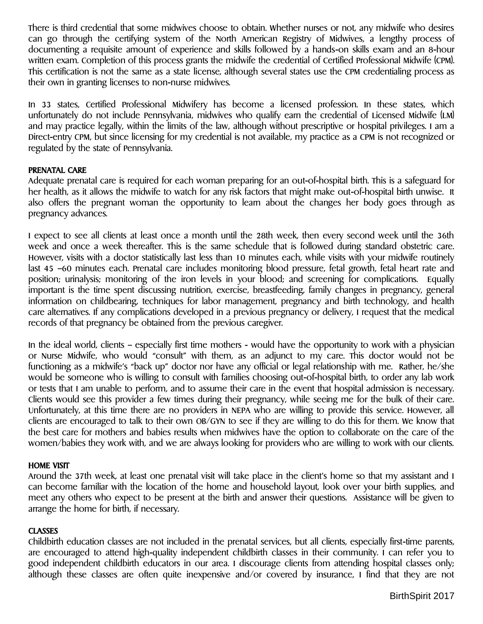There is third credential that some midwives choose to obtain. Whether nurses or not, any midwife who desires can go through the certifying system of the North American Registry of Midwives, a lengthy process of documenting a requisite amount of experience and skills followed by a hands-on skills exam and an 8-hour written exam. Completion of this process grants the midwife the credential of Certified Professional Midwife (CPM). This certification is not the same as a state license, although several states use the CPM credentialing process as their own in granting licenses to non-nurse midwives.

In 33 states, Certified Professional Midwifery has become a licensed profession. In these states, which unfortunately do not include Pennsylvania, midwives who qualify earn the credential of Licensed Midwife (LM) and may practice legally, within the limits of the law, although without prescriptive or hospital privileges. I am a Direct-entry CPM, but since licensing for my credential is not available, my practice as a CPM is not recognized or regulated by the state of Pennsylvania.

#### PRENATAL CARE

Adequate prenatal care is required for each woman preparing for an out-of-hospital birth. This is a safeguard for her health, as it allows the midwife to watch for any risk factors that might make out-of-hospital birth unwise. It also offers the pregnant woman the opportunity to learn about the changes her body goes through as pregnancy advances.

I expect to see all clients at least once a month until the 28th week, then every second week until the 36th week and once a week thereafter. This is the same schedule that is followed during standard obstetric care. However, visits with a doctor statistically last less than 10 minutes each, while visits with your midwife routinely last 45 –60 minutes each. Prenatal care includes monitoring blood pressure, fetal growth, fetal heart rate and position; urinalysis; monitoring of the iron levels in your blood; and screening for complications. Equally important is the time spent discussing nutrition, exercise, breastfeeding, family changes in pregnancy, general information on childbearing, techniques for labor management, pregnancy and birth technology, and health care alternatives. If any complications developed in a previous pregnancy or delivery, I request that the medical records of that pregnancy be obtained from the previous caregiver.

In the ideal world, clients – especially first time mothers - would have the opportunity to work with a physician or Nurse Midwife, who would "consult" with them, as an adjunct to my care. This doctor would not be functioning as a midwife's "back up" doctor nor have any official or legal relationship with me. Rather, he/she would be someone who is willing to consult with families choosing out-of-hospital birth, to order any lab work or tests that I am unable to perform, and to assume their care in the event that hospital admission is necessary. Clients would see this provider a few times during their pregnancy, while seeing me for the bulk of their care. Unfortunately, at this time there are no providers in NEPA who are willing to provide this service. However, all clients are encouraged to talk to their own OB/GYN to see if they are willing to do this for them. We know that the best care for mothers and babies results when midwives have the option to collaborate on the care of the women/babies they work with, and we are always looking for providers who are willing to work with our clients.

#### HOME VISIT

Around the 37th week, at least one prenatal visit will take place in the client's home so that my assistant and I can become familiar with the location of the home and household layout, look over your birth supplies, and meet any others who expect to be present at the birth and answer their questions. Assistance will be given to arrange the home for birth, if necessary.

#### CLASSES

Childbirth education classes are not included in the prenatal services, but all clients, especially first-time parents, are encouraged to attend high-quality independent childbirth classes in their community. I can refer you to good independent childbirth educators in our area. I discourage clients from attending hospital classes only; although these classes are often quite inexpensive and/or covered by insurance, I find that they are not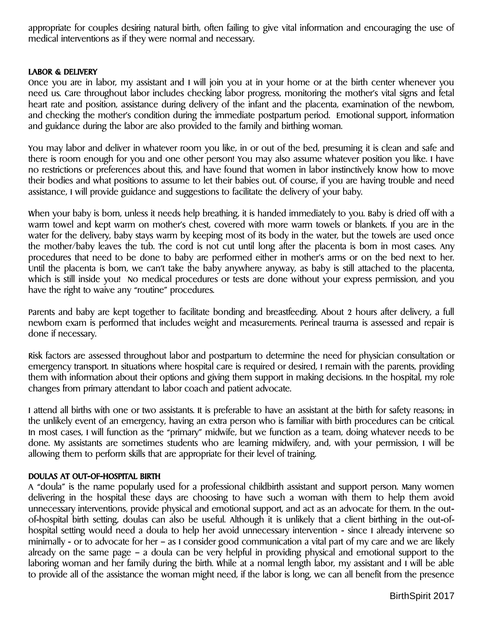appropriate for couples desiring natural birth, often failing to give vital information and encouraging the use of medical interventions as if they were normal and necessary.

#### LABOR & DELIVERY

Once you are in labor, my assistant and I will join you at in your home or at the birth center whenever you need us. Care throughout labor includes checking labor progress, monitoring the mother's vital signs and fetal heart rate and position, assistance during delivery of the infant and the placenta, examination of the newbom, and checking the mother's condition during the immediate postpartum period. Emotional support, information and guidance during the labor are also provided to the family and birthing woman.

You may labor and deliver in whatever room you like, in or out of the bed, presuming it is clean and safe and there is room enough for you and one other person! You may also assume whatever position you like. I have no restrictions or preferences about this, and have found that women in labor instinctively know how to move their bodies and what positions to assume to let their babies out. Of course, if you are having trouble and need assistance, I will provide guidance and suggestions to facilitate the delivery of your baby.

When your baby is born, unless it needs help breathing, it is handed immediately to you. Baby is dried off with a warm towel and kept warm on mother's chest, covered with more warm towels or blankets. If you are in the water for the delivery, baby stays warm by keeping most of its body in the water, but the towels are used once the mother/baby leaves the tub. The cord is not cut until long after the placenta is born in most cases. Any procedures that need to be done to baby are performed either in mother's arms or on the bed next to her. Until the placenta is born, we can't take the baby anywhere anyway, as baby is still attached to the placenta, which is still inside you! No medical procedures or tests are done without your express permission, and you have the right to waive any "routine" procedures.

Parents and baby are kept together to facilitate bonding and breastfeeding. About 2 hours after delivery, a full newborn exam is performed that includes weight and measurements. Perineal trauma is assessed and repair is done if necessary.

Risk factors are assessed throughout labor and postpartum to determine the need for physician consultation or emergency transport. In situations where hospital care is required or desired, I remain with the parents, providing them with information about their options and giving them support in making decisions. In the hospital, my role changes from primary attendant to labor coach and patient advocate.

I attend all births with one or two assistants. It is preferable to have an assistant at the birth for safety reasons; in the unlikely event of an emergency, having an extra person who is familiar with birth procedures can be critical. In most cases, I will function as the "primary" midwife, but we function as a team, doing whatever needs to be done. My assistants are sometimes students who are learning midwifery, and, with your permission, I will be allowing them to perform skills that are appropriate for their level of training.

#### DOULAS AT OUT-OF-HOSPITAL BIRTH

A "doula" is the name popularly used for a professional childbirth assistant and support person. Many women delivering in the hospital these days are choosing to have such a woman with them to help them avoid unnecessary interventions, provide physical and emotional support, and act as an advocate for them. In the outof-hospital birth setting, doulas can also be useful. Although it is unlikely that a client birthing in the out-ofhospital setting would need a doula to help her avoid unnecessary intervention - since I already intervene so minimally - or to advocate for her – as I consider good communication a vital part of my care and we are likely already on the same page – a doula can be very helpful in providing physical and emotional support to the laboring woman and her family during the birth. While at a normal length labor, my assistant and I will be able to provide all of the assistance the woman might need, if the labor is long, we can all benefit from the presence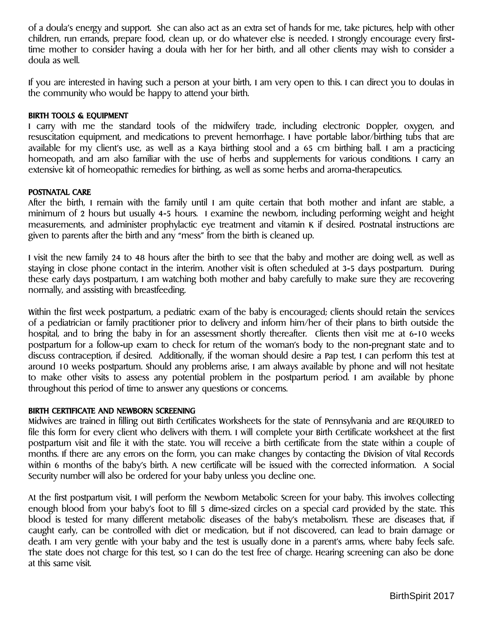of a doula's energy and support. She can also act as an extra set of hands for me, take pictures, help with other children, run errands, prepare food, clean up, or do whatever else is needed. I strongly encourage every firsttime mother to consider having a doula with her for her birth, and all other clients may wish to consider a doula as well.

If you are interested in having such a person at your birth, I am very open to this. I can direct you to doulas in the community who would be happy to attend your birth.

#### BIRTH TOOLS & EQUIPMENT

I carry with me the standard tools of the midwifery trade, including electronic Doppler, oxygen, and resuscitation equipment, and medications to prevent hemorrhage. I have portable labor/birthing tubs that are available for my client's use, as well as a Kaya birthing stool and a 65 cm birthing ball. I am a practicing homeopath, and am also familiar with the use of herbs and supplements for various conditions. I carry an extensive kit of homeopathic remedies for birthing, as well as some herbs and aroma-therapeutics.

#### POSTNATAL CARE

After the birth, I remain with the family until I am quite certain that both mother and infant are stable, a minimum of 2 hours but usually 4-5 hours. I examine the newborn, including performing weight and height measurements, and administer prophylactic eye treatment and vitamin K if desired. Postnatal instructions are given to parents after the birth and any "mess" from the birth is cleaned up.

I visit the new family 24 to 48 hours after the birth to see that the baby and mother are doing well, as well as staying in close phone contact in the interim. Another visit is often scheduled at 3-5 days postpartum. During these early days postpartum, I am watching both mother and baby carefully to make sure they are recovering normally, and assisting with breastfeeding.

Within the first week postpartum, a pediatric exam of the baby is encouraged; clients should retain the services of a pediatrician or family practitioner prior to delivery and inform him/her of their plans to birth outside the hospital, and to bring the baby in for an assessment shortly thereafter. Clients then visit me at 6-10 weeks postpartum for a follow-up exam to check for return of the woman's body to the non-pregnant state and to discuss contraception, if desired. Additionally, if the woman should desire a Pap test, I can perform this test at around 10 weeks postpartum. Should any problems arise, I am always available by phone and will not hesitate to make other visits to assess any potential problem in the postpartum period. I am available by phone throughout this period of time to answer any questions or concerns.

#### BIRTH CERTIFICATE AND NEWBORN SCREENING

Midwives are trained in filling out Birth Certificates Worksheets for the state of Pennsylvania and are REQUIRED to file this form for every client who delivers with them. I will complete your Birth Certificate worksheet at the first postpartum visit and file it with the state. You will receive a birth certificate from the state within a couple of months. If there are any errors on the form, you can make changes by contacting the Division of Vital Records within 6 months of the baby's birth. A new certificate will be issued with the corrected information. A Social Security number will also be ordered for your baby unless you decline one.

At the first postpartum visit, I will perform the Newborn Metabolic Screen for your baby. This involves collecting enough blood from your baby's foot to fill 5 dime-sized circles on a special card provided by the state. This blood is tested for many different metabolic diseases of the baby's metabolism. These are diseases that, if caught early, can be controlled with diet or medication, but if not discovered, can lead to brain damage or death. I am very gentle with your baby and the test is usually done in a parent's arms, where baby feels safe. The state does not charge for this test, so I can do the test free of charge. Hearing screening can also be done at this same visit.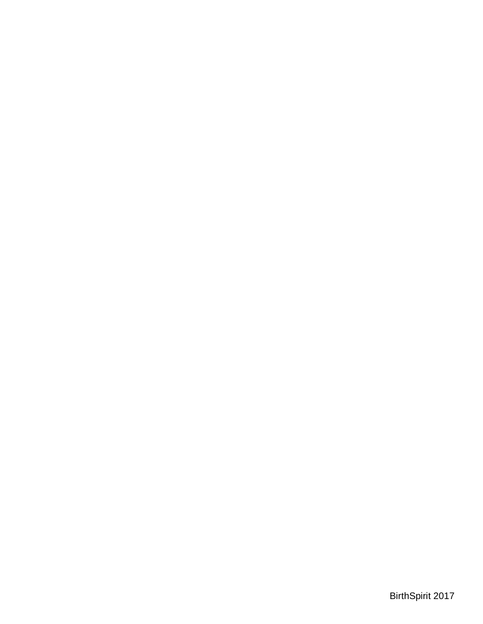BirthSpirit 2017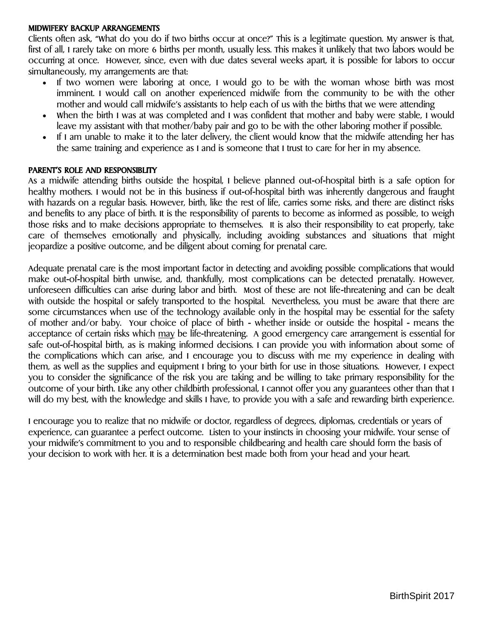#### MIDWIFERY BACKUP ARRANGEMENTS

Clients often ask, "What do you do if two births occur at once?" This is a legitimate question. My answer is that, first of all, I rarely take on more 6 births per month, usually less. This makes it unlikely that two labors would be occurring at once. However, since, even with due dates several weeks apart, it is possible for labors to occur simultaneously, my arrangements are that:

- If two women were laboring at once, I would go to be with the woman whose birth was most imminent. I would call on another experienced midwife from the community to be with the other mother and would call midwife's assistants to help each of us with the births that we were attending
- When the birth I was at was completed and I was confident that mother and baby were stable, I would leave my assistant with that mother/baby pair and go to be with the other laboring mother if possible.
- If I am unable to make it to the later delivery, the client would know that the midwife attending her has the same training and experience as I and is someone that I trust to care for her in my absence.

#### PARENT'S ROLE AND RESPONSIBLITY

As a midwife attending births outside the hospital, I believe planned out-of-hospital birth is a safe option for healthy mothers. I would not be in this business if out-of-hospital birth was inherently dangerous and fraught with hazards on a regular basis. However, birth, like the rest of life, carries some risks, and there are distinct risks and benefits to any place of birth. It is the responsibility of parents to become as informed as possible, to weigh those risks and to make decisions appropriate to themselves. It is also their responsibility to eat properly, take care of themselves emotionally and physically, including avoiding substances and situations that might jeopardize a positive outcome, and be diligent about coming for prenatal care.

Adequate prenatal care is the most important factor in detecting and avoiding possible complications that would make out-of-hospital birth unwise, and, thankfully, most complications can be detected prenatally. However, unforeseen difficulties can arise during labor and birth. Most of these are not life-threatening and can be dealt with outside the hospital or safely transported to the hospital. Nevertheless, you must be aware that there are some circumstances when use of the technology available only in the hospital may be essential for the safety of mother and/or baby. Your choice of place of birth - whether inside or outside the hospital - means the acceptance of certain risks which may be life-threatening. A good emergency care arrangement is essential for safe out-of-hospital birth, as is making informed decisions. I can provide you with information about some of the complications which can arise, and I encourage you to discuss with me my experience in dealing with them, as well as the supplies and equipment I bring to your birth for use in those situations. However, I expect you to consider the significance of the risk you are taking and be willing to take primary responsibility for the outcome of your birth. Like any other childbirth professional, I cannot offer you any guarantees other than that I will do my best, with the knowledge and skills I have, to provide you with a safe and rewarding birth experience.

I encourage you to realize that no midwife or doctor, regardless of degrees, diplomas, credentials or years of experience, can guarantee a perfect outcome. Listen to your instincts in choosing your midwife. Your sense of your midwife's commitment to you and to responsible childbearing and health care should form the basis of your decision to work with her. It is a determination best made both from your head and your heart.